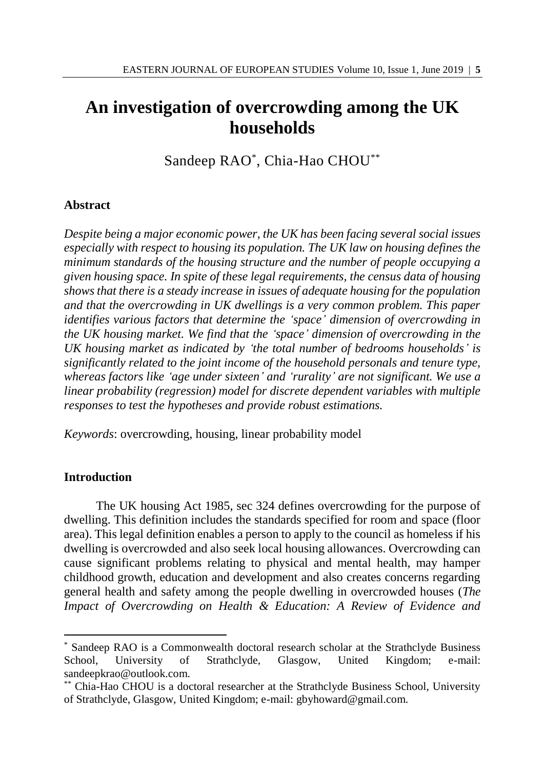# **An investigation of overcrowding among the UK households**

Sandeep RAO\* , Chia-Hao CHOU\*\*

# **Abstract**

*Despite being a major economic power, the UK has been facing several social issues especially with respect to housing its population. The UK law on housing defines the minimum standards of the housing structure and the number of people occupying a given housing space. In spite of these legal requirements, the census data of housing shows that there is a steady increase in issues of adequate housing for the population and that the overcrowding in UK dwellings is a very common problem. This paper identifies various factors that determine the 'space' dimension of overcrowding in the UK housing market. We find that the 'space' dimension of overcrowding in the UK housing market as indicated by 'the total number of bedrooms households' is significantly related to the joint income of the household personals and tenure type, whereas factors like 'age under sixteen' and 'rurality' are not significant. We use a linear probability (regression) model for discrete dependent variables with multiple responses to test the hypotheses and provide robust estimations.*

*Keywords*: overcrowding, housing, linear probability model

# **Introduction**

l

The UK housing Act 1985, sec 324 defines overcrowding for the purpose of dwelling. This definition includes the standards specified for room and space (floor area). This legal definition enables a person to apply to the council as homeless if his dwelling is overcrowded and also seek local housing allowances. Overcrowding can cause significant problems relating to physical and mental health, may hamper childhood growth, education and development and also creates concerns regarding general health and safety among the people dwelling in overcrowded houses (*The Impact of Overcrowding on Health & Education: A Review of Evidence and* 

<sup>\*</sup> Sandeep RAO is a Commonwealth doctoral research scholar at the Strathclyde Business School, University of Strathclyde, Glasgow, United Kingdom; e-mail: sandeepkrao@outlook.com.

<sup>\*\*</sup> Chia-Hao CHOU is a doctoral researcher at the Strathclyde Business School, University of Strathclyde, Glasgow, United Kingdom; e-mail: gbyhoward@gmail.com.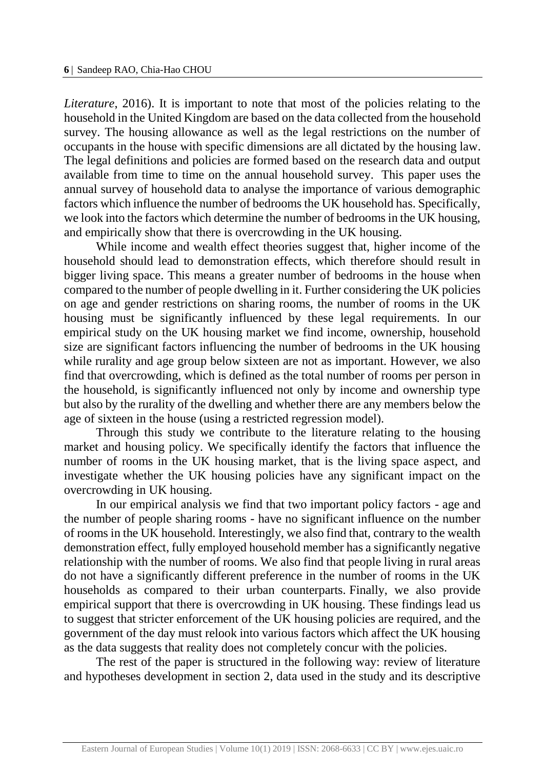*Literature*, 2016). It is important to note that most of the policies relating to the household in the United Kingdom are based on the data collected from the household survey. The housing allowance as well as the legal restrictions on the number of occupants in the house with specific dimensions are all dictated by the housing law. The legal definitions and policies are formed based on the research data and output available from time to time on the annual household survey. This paper uses the annual survey of household data to analyse the importance of various demographic factors which influence the number of bedrooms the UK household has. Specifically, we look into the factors which determine the number of bedrooms in the UK housing, and empirically show that there is overcrowding in the UK housing.

While income and wealth effect theories suggest that, higher income of the household should lead to demonstration effects, which therefore should result in bigger living space. This means a greater number of bedrooms in the house when compared to the number of people dwelling in it. Further considering the UK policies on age and gender restrictions on sharing rooms, the number of rooms in the UK housing must be significantly influenced by these legal requirements. In our empirical study on the UK housing market we find income, ownership, household size are significant factors influencing the number of bedrooms in the UK housing while rurality and age group below sixteen are not as important. However, we also find that overcrowding, which is defined as the total number of rooms per person in the household, is significantly influenced not only by income and ownership type but also by the rurality of the dwelling and whether there are any members below the age of sixteen in the house (using a restricted regression model).

Through this study we contribute to the literature relating to the housing market and housing policy. We specifically identify the factors that influence the number of rooms in the UK housing market, that is the living space aspect, and investigate whether the UK housing policies have any significant impact on the overcrowding in UK housing.

In our empirical analysis we find that two important policy factors - age and the number of people sharing rooms - have no significant influence on the number of rooms in the UK household. Interestingly, we also find that, contrary to the wealth demonstration effect, fully employed household member has a significantly negative relationship with the number of rooms. We also find that people living in rural areas do not have a significantly different preference in the number of rooms in the UK households as compared to their urban counterparts. Finally, we also provide empirical support that there is overcrowding in UK housing. These findings lead us to suggest that stricter enforcement of the UK housing policies are required, and the government of the day must relook into various factors which affect the UK housing as the data suggests that reality does not completely concur with the policies.

The rest of the paper is structured in the following way: review of literature and hypotheses development in section 2, data used in the study and its descriptive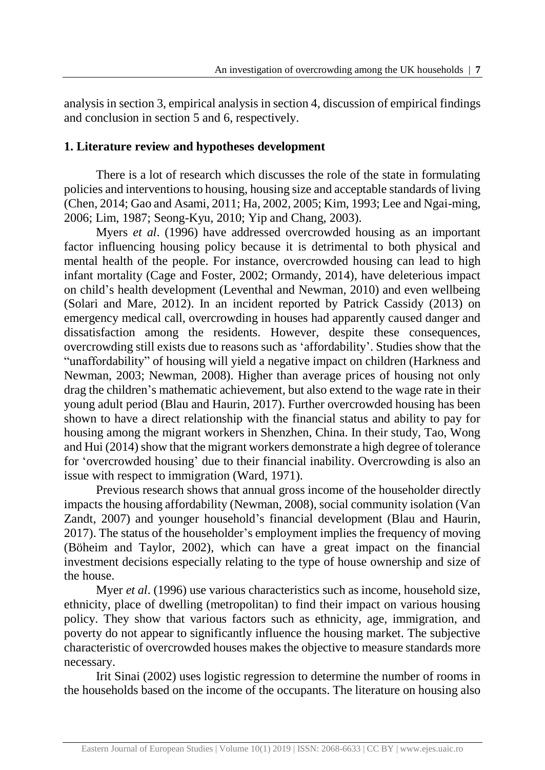analysis in section 3, empirical analysis in section 4, discussion of empirical findings and conclusion in section 5 and 6, respectively.

# **1. Literature review and hypotheses development**

There is a lot of research which discusses the role of the state in formulating policies and interventions to housing, housing size and acceptable standards of living (Chen, 2014; Gao and Asami, 2011; Ha, 2002, 2005; Kim, 1993; Lee and Ngai-ming, 2006; Lim, 1987; Seong-Kyu, 2010; Yip and Chang, 2003).

Myers *et al*. (1996) have addressed overcrowded housing as an important factor influencing housing policy because it is detrimental to both physical and mental health of the people. For instance, overcrowded housing can lead to high infant mortality (Cage and Foster, 2002; Ormandy, 2014), have deleterious impact on child's health development (Leventhal and Newman, 2010) and even wellbeing (Solari and Mare, 2012). In an incident reported by Patrick Cassidy (2013) on emergency medical call, overcrowding in houses had apparently caused danger and dissatisfaction among the residents. However, despite these consequences, overcrowding still exists due to reasons such as 'affordability'. Studies show that the "unaffordability" of housing will yield a negative impact on children (Harkness and Newman, 2003; Newman, 2008). Higher than average prices of housing not only drag the children's mathematic achievement, but also extend to the wage rate in their young adult period (Blau and Haurin, 2017). Further overcrowded housing has been shown to have a direct relationship with the financial status and ability to pay for housing among the migrant workers in Shenzhen, China. In their study, Tao, Wong and Hui (2014) show that the migrant workers demonstrate a high degree of tolerance for 'overcrowded housing' due to their financial inability. Overcrowding is also an issue with respect to immigration (Ward, 1971).

Previous research shows that annual gross income of the householder directly impacts the housing affordability (Newman, 2008), social community isolation (Van Zandt, 2007) and younger household's financial development (Blau and Haurin, 2017). The status of the householder's employment implies the frequency of moving (Böheim and Taylor, 2002), which can have a great impact on the financial investment decisions especially relating to the type of house ownership and size of the house.

Myer *et al*. (1996) use various characteristics such as income, household size, ethnicity, place of dwelling (metropolitan) to find their impact on various housing policy. They show that various factors such as ethnicity, age, immigration, and poverty do not appear to significantly influence the housing market. The subjective characteristic of overcrowded houses makes the objective to measure standards more necessary.

Irit Sinai (2002) uses logistic regression to determine the number of rooms in the households based on the income of the occupants. The literature on housing also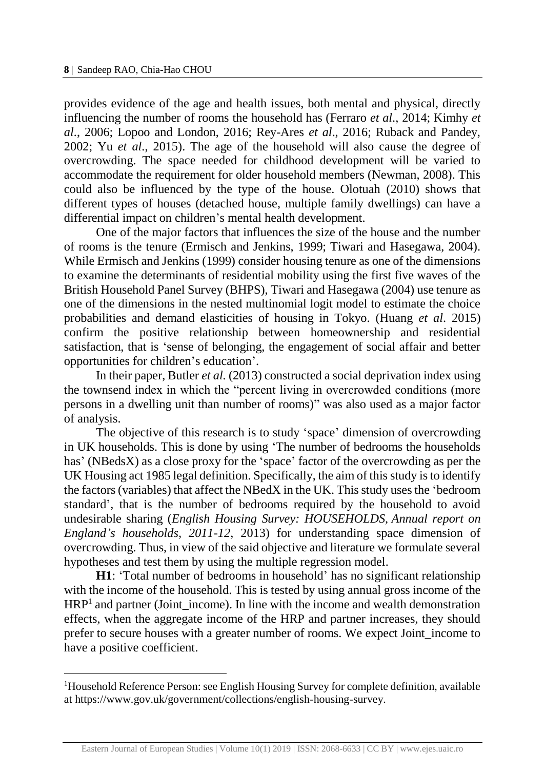l

provides evidence of the age and health issues, both mental and physical, directly influencing the number of rooms the household has (Ferraro *et al*., 2014; Kimhy *et al*., 2006; Lopoo and London, 2016; Rey-Ares *et al*., 2016; Ruback and Pandey, 2002; Yu *et al*., 2015). The age of the household will also cause the degree of overcrowding. The space needed for childhood development will be varied to accommodate the requirement for older household members (Newman, 2008). This could also be influenced by the type of the house. Olotuah (2010) shows that different types of houses (detached house, multiple family dwellings) can have a differential impact on children's mental health development.

One of the major factors that influences the size of the house and the number of rooms is the tenure (Ermisch and Jenkins, 1999; Tiwari and Hasegawa, 2004). While Ermisch and Jenkins (1999) consider housing tenure as one of the dimensions to examine the determinants of residential mobility using the first five waves of the British Household Panel Survey (BHPS), Tiwari and Hasegawa (2004) use tenure as one of the dimensions in the nested multinomial logit model to estimate the choice probabilities and demand elasticities of housing in Tokyo. (Huang *et al*. 2015) confirm the positive relationship between homeownership and residential satisfaction, that is 'sense of belonging, the engagement of social affair and better opportunities for children's education'.

In their paper, Butler *et al.* (2013) constructed a social deprivation index using the townsend index in which the "percent living in overcrowded conditions (more persons in a dwelling unit than number of rooms)" was also used as a major factor of analysis.

The objective of this research is to study 'space' dimension of overcrowding in UK households. This is done by using 'The number of bedrooms the households has' (NBedsX) as a close proxy for the 'space' factor of the overcrowding as per the UK Housing act 1985 legal definition. Specifically, the aim of this study is to identify the factors (variables) that affect the NBedX in the UK. This study uses the 'bedroom standard', that is the number of bedrooms required by the household to avoid undesirable sharing (*English Housing Survey: HOUSEHOLDS, Annual report on England's households, 2011-12*, 2013) for understanding space dimension of overcrowding. Thus, in view of the said objective and literature we formulate several hypotheses and test them by using the multiple regression model.

**H1**: 'Total number of bedrooms in household' has no significant relationship with the income of the household. This is tested by using annual gross income of the  $HRP<sup>1</sup>$  and partner (Joint\_income). In line with the income and wealth demonstration effects, when the aggregate income of the HRP and partner increases, they should prefer to secure houses with a greater number of rooms. We expect Joint\_income to have a positive coefficient.

<sup>&</sup>lt;sup>1</sup>Household Reference Person: see English Housing Survey for complete definition, available at https://www.gov.uk/government/collections/english-housing-survey.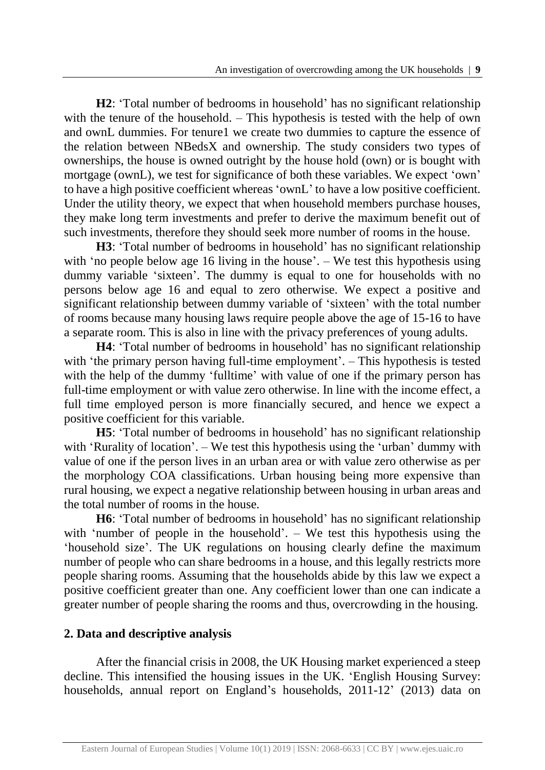**H2**: 'Total number of bedrooms in household' has no significant relationship with the tenure of the household. – This hypothesis is tested with the help of own and ownL dummies. For tenure1 we create two dummies to capture the essence of the relation between NBedsX and ownership. The study considers two types of ownerships, the house is owned outright by the house hold (own) or is bought with mortgage (ownL), we test for significance of both these variables. We expect 'own' to have a high positive coefficient whereas 'ownL' to have a low positive coefficient. Under the utility theory, we expect that when household members purchase houses, they make long term investments and prefer to derive the maximum benefit out of such investments, therefore they should seek more number of rooms in the house.

**H3**: 'Total number of bedrooms in household' has no significant relationship with 'no people below age 16 living in the house'. – We test this hypothesis using dummy variable 'sixteen'. The dummy is equal to one for households with no persons below age 16 and equal to zero otherwise. We expect a positive and significant relationship between dummy variable of 'sixteen' with the total number of rooms because many housing laws require people above the age of 15-16 to have a separate room. This is also in line with the privacy preferences of young adults.

**H4**: 'Total number of bedrooms in household' has no significant relationship with 'the primary person having full-time employment'. – This hypothesis is tested with the help of the dummy 'fulltime' with value of one if the primary person has full-time employment or with value zero otherwise. In line with the income effect, a full time employed person is more financially secured, and hence we expect a positive coefficient for this variable.

**H5**: 'Total number of bedrooms in household' has no significant relationship with 'Rurality of location'. – We test this hypothesis using the 'urban' dummy with value of one if the person lives in an urban area or with value zero otherwise as per the morphology COA classifications. Urban housing being more expensive than rural housing, we expect a negative relationship between housing in urban areas and the total number of rooms in the house.

**H6**: 'Total number of bedrooms in household' has no significant relationship with 'number of people in the household'. – We test this hypothesis using the 'household size'. The UK regulations on housing clearly define the maximum number of people who can share bedrooms in a house, and this legally restricts more people sharing rooms. Assuming that the households abide by this law we expect a positive coefficient greater than one. Any coefficient lower than one can indicate a greater number of people sharing the rooms and thus, overcrowding in the housing.

# **2. Data and descriptive analysis**

After the financial crisis in 2008, the UK Housing market experienced a steep decline. This intensified the housing issues in the UK. 'English Housing Survey: households, annual report on England's households, 2011-12' (2013) data on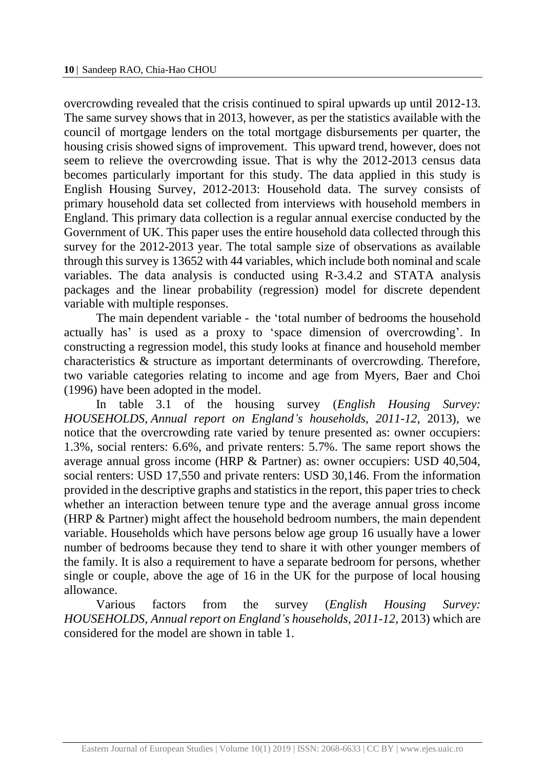overcrowding revealed that the crisis continued to spiral upwards up until 2012-13. The same survey shows that in 2013, however, as per the statistics available with the council of mortgage lenders on the total mortgage disbursements per quarter, the housing crisis showed signs of improvement. This upward trend, however, does not seem to relieve the overcrowding issue. That is why the 2012-2013 census data becomes particularly important for this study. The data applied in this study is English Housing Survey, 2012-2013: Household data. The survey consists of primary household data set collected from interviews with household members in England. This primary data collection is a regular annual exercise conducted by the Government of UK. This paper uses the entire household data collected through this survey for the 2012-2013 year. The total sample size of observations as available through this survey is 13652 with 44 variables, which include both nominal and scale variables. The data analysis is conducted using R-3.4.2 and STATA analysis packages and the linear probability (regression) model for discrete dependent variable with multiple responses.

The main dependent variable - the 'total number of bedrooms the household actually has' is used as a proxy to 'space dimension of overcrowding'. In constructing a regression model, this study looks at finance and household member characteristics & structure as important determinants of overcrowding. Therefore, two variable categories relating to income and age from Myers, Baer and Choi (1996) have been adopted in the model.

In table 3.1 of the housing survey (*English Housing Survey: HOUSEHOLDS, Annual report on England's households, 2011-12*, 2013), we notice that the overcrowding rate varied by tenure presented as: owner occupiers: 1.3%, social renters: 6.6%, and private renters: 5.7%. The same report shows the average annual gross income (HRP & Partner) as: owner occupiers: USD 40,504, social renters: USD 17,550 and private renters: USD 30,146. From the information provided in the descriptive graphs and statistics in the report, this paper tries to check whether an interaction between tenure type and the average annual gross income (HRP & Partner) might affect the household bedroom numbers, the main dependent variable. Households which have persons below age group 16 usually have a lower number of bedrooms because they tend to share it with other younger members of the family. It is also a requirement to have a separate bedroom for persons, whether single or couple, above the age of 16 in the UK for the purpose of local housing allowance.

Various factors from the survey (*English Housing Survey: HOUSEHOLDS, Annual report on England's households, 2011-12*, 2013) which are considered for the model are shown in table 1.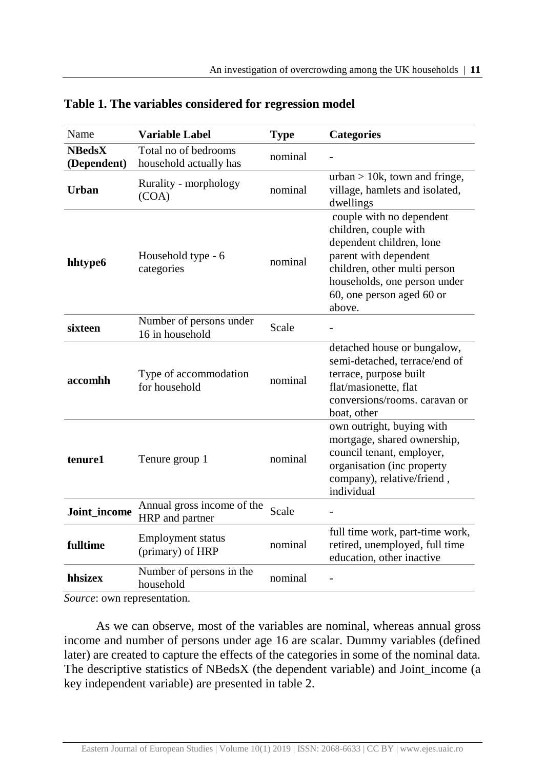| Name                         | <b>Variable Label</b>                          | <b>Type</b> | <b>Categories</b>                                                                                                                                                                                             |
|------------------------------|------------------------------------------------|-------------|---------------------------------------------------------------------------------------------------------------------------------------------------------------------------------------------------------------|
| <b>NBedsX</b><br>(Dependent) | Total no of bedrooms<br>household actually has | nominal     |                                                                                                                                                                                                               |
| Urban                        | Rurality - morphology<br>(COA)                 | nominal     | urban $> 10k$ , town and fringe,<br>village, hamlets and isolated,<br>dwellings                                                                                                                               |
| hhtype6                      | Household type - 6<br>categories               | nominal     | couple with no dependent<br>children, couple with<br>dependent children, lone<br>parent with dependent<br>children, other multi person<br>households, one person under<br>60, one person aged 60 or<br>above. |
| sixteen                      | Number of persons under<br>16 in household     | Scale       |                                                                                                                                                                                                               |
| accomhh                      | Type of accommodation<br>for household         | nominal     | detached house or bungalow,<br>semi-detached, terrace/end of<br>terrace, purpose built<br>flat/masionette, flat<br>conversions/rooms. caravan or<br>boat, other                                               |
| tenure1                      | Tenure group 1                                 | nominal     | own outright, buying with<br>mortgage, shared ownership,<br>council tenant, employer,<br>organisation (inc property<br>company), relative/friend,<br>individual                                               |
| Joint_income                 | Annual gross income of the<br>HRP and partner  | Scale       |                                                                                                                                                                                                               |
| fulltime                     | <b>Employment status</b><br>(primary) of HRP   | nominal     | full time work, part-time work,<br>retired, unemployed, full time<br>education, other inactive                                                                                                                |
| hhsizex                      | Number of persons in the<br>household          | nominal     |                                                                                                                                                                                                               |

## **Table 1. The variables considered for regression model**

*Source*: own representation.

As we can observe, most of the variables are nominal, whereas annual gross income and number of persons under age 16 are scalar. Dummy variables (defined later) are created to capture the effects of the categories in some of the nominal data. The descriptive statistics of NBedsX (the dependent variable) and Joint\_income (a key independent variable) are presented in table 2.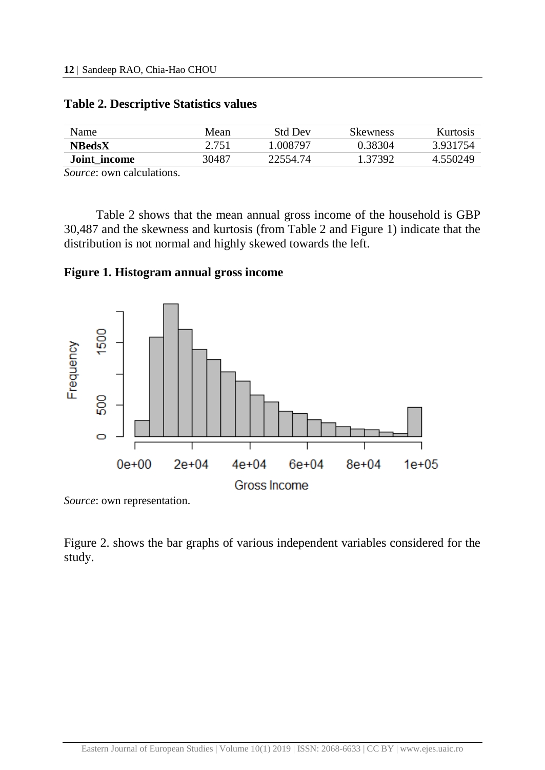| Name          | Mean  | Std Dev  | Skewness | Kurtosis |
|---------------|-------|----------|----------|----------|
| <b>NBedsX</b> | 2.751 | 008797   | 0.38304  | 3931754  |
| Joint income  | 30487 | 22554.74 | .37392   | 4.550249 |

# **Table 2. Descriptive Statistics values**

*Source*: own calculations.

Table 2 shows that the mean annual gross income of the household is GBP 30,487 and the skewness and kurtosis (from Table 2 and Figure 1) indicate that the distribution is not normal and highly skewed towards the left.

**Figure 1. Histogram annual gross income**



*Source*: own representation.

Figure 2. shows the bar graphs of various independent variables considered for the study.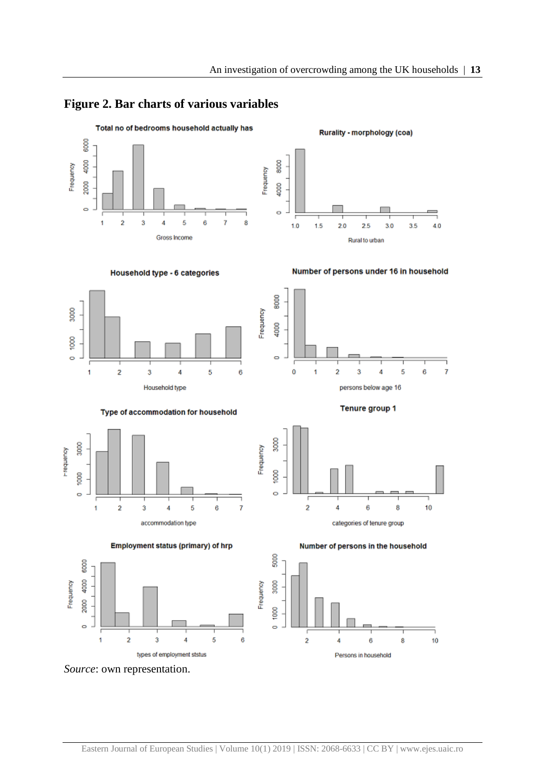## **Figure 2. Bar charts of various variables**



*Source*: own representation.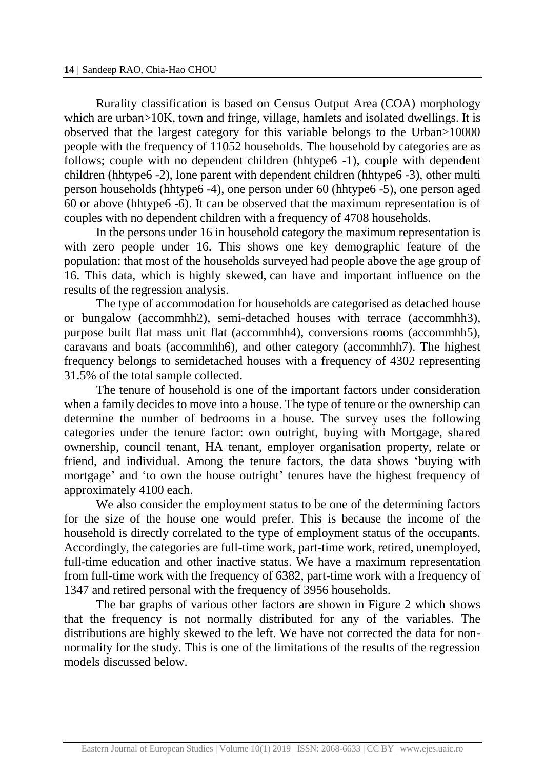Rurality classification is based on Census Output Area (COA) morphology which are urban>10K, town and fringe, village, hamlets and isolated dwellings. It is observed that the largest category for this variable belongs to the Urban>10000 people with the frequency of 11052 households. The household by categories are as follows; couple with no dependent children (hhtype6 -1), couple with dependent children (hhtype6 -2), lone parent with dependent children (hhtype6 -3), other multi person households (hhtype6 -4), one person under 60 (hhtype6 -5), one person aged 60 or above (hhtype6 -6). It can be observed that the maximum representation is of couples with no dependent children with a frequency of 4708 households.

In the persons under 16 in household category the maximum representation is with zero people under 16. This shows one key demographic feature of the population: that most of the households surveyed had people above the age group of 16. This data, which is highly skewed, can have and important influence on the results of the regression analysis.

The type of accommodation for households are categorised as detached house or bungalow (accommhh2), semi-detached houses with terrace (accommhh3), purpose built flat mass unit flat (accommhh4), conversions rooms (accommhh5), caravans and boats (accommhh6), and other category (accommhh7). The highest frequency belongs to semidetached houses with a frequency of 4302 representing 31.5% of the total sample collected.

The tenure of household is one of the important factors under consideration when a family decides to move into a house. The type of tenure or the ownership can determine the number of bedrooms in a house. The survey uses the following categories under the tenure factor: own outright, buying with Mortgage, shared ownership, council tenant, HA tenant, employer organisation property, relate or friend, and individual. Among the tenure factors, the data shows 'buying with mortgage' and 'to own the house outright' tenures have the highest frequency of approximately 4100 each.

We also consider the employment status to be one of the determining factors for the size of the house one would prefer. This is because the income of the household is directly correlated to the type of employment status of the occupants. Accordingly, the categories are full-time work, part-time work, retired, unemployed, full-time education and other inactive status. We have a maximum representation from full-time work with the frequency of 6382, part-time work with a frequency of 1347 and retired personal with the frequency of 3956 households.

The bar graphs of various other factors are shown in Figure 2 which shows that the frequency is not normally distributed for any of the variables. The distributions are highly skewed to the left. We have not corrected the data for nonnormality for the study. This is one of the limitations of the results of the regression models discussed below.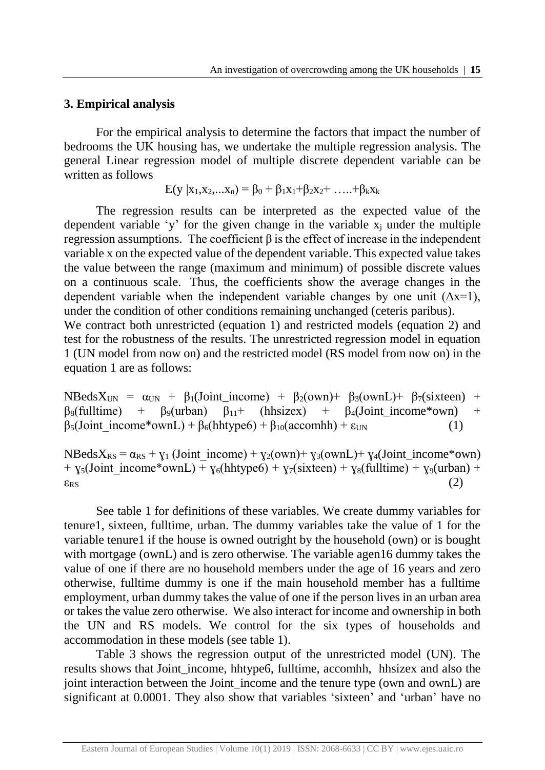## **3. Empirical analysis**

For the empirical analysis to determine the factors that impact the number of bedrooms the UK housing has, we undertake the multiple regression analysis. The general Linear regression model of multiple discrete dependent variable can be written as follows

$$
E(y | x_1, x_2,...x_n) = \beta_0 + \beta_1 x_1 + \beta_2 x_2 + \ldots + \beta_k x_k
$$

The regression results can be interpreted as the expected value of the dependent variable 'y' for the given change in the variable  $x_i$  under the multiple regression assumptions. The coefficient β is the effect of increase in the independent variable x on the expected value of the dependent variable. This expected value takes the value between the range (maximum and minimum) of possible discrete values on a continuous scale. Thus, the coefficients show the average changes in the dependent variable when the independent variable changes by one unit  $(\Delta x=1)$ , under the condition of other conditions remaining unchanged (ceteris paribus). We contract both unrestricted (equation 1) and restricted models (equation 2) and test for the robustness of the results. The unrestricted regression model in equation 1 (UN model from now on) and the restricted model (RS model from now on) in the

equation 1 are as follows:

NBeds $X_{UN} = \alpha_{UN} + \beta_1 (Joint\_income) + \beta_2 (own) + \beta_3 (ownL) + \beta_7 (sixteen) +$  $\beta_8$ (fulltime) +  $\beta_9$ (urban)  $\beta_{11}$ + (hhsizex) +  $\beta_4$ (Joint\_income\*own) +  $β<sub>5</sub>(Joint income*ownL) + β<sub>6</sub>(hhtype6) + β<sub>10</sub>(accomhh) + ε<sub>UN</sub>$  (1)

 $NBedsX_{RS} = \alpha_{RS} + y_1$  (Joint income) +  $y_2(own) + y_3(ownL) + y_4$ (Joint income\*own) +  $\gamma_5$ (Joint income\*ownL) +  $\gamma_6$ (hhtype6) +  $\gamma_7$ (sixteen) +  $\gamma_8$ (fulltime) +  $\gamma_9$ (urban) +  $\varepsilon_{\rm RS}$  (2)

See table 1 for definitions of these variables. We create dummy variables for tenure1, sixteen, fulltime, urban. The dummy variables take the value of 1 for the variable tenure1 if the house is owned outright by the household (own) or is bought with mortgage (ownL) and is zero otherwise. The variable agen16 dummy takes the value of one if there are no household members under the age of 16 years and zero otherwise, fulltime dummy is one if the main household member has a fulltime employment, urban dummy takes the value of one if the person lives in an urban area or takes the value zero otherwise. We also interact for income and ownership in both the UN and RS models. We control for the six types of households and accommodation in these models (see table 1).

Table 3 shows the regression output of the unrestricted model (UN). The results shows that Joint income, hhtype6, fulltime, accomhh, hhsizex and also the joint interaction between the Joint income and the tenure type (own and ownL) are significant at 0.0001. They also show that variables 'sixteen' and 'urban' have no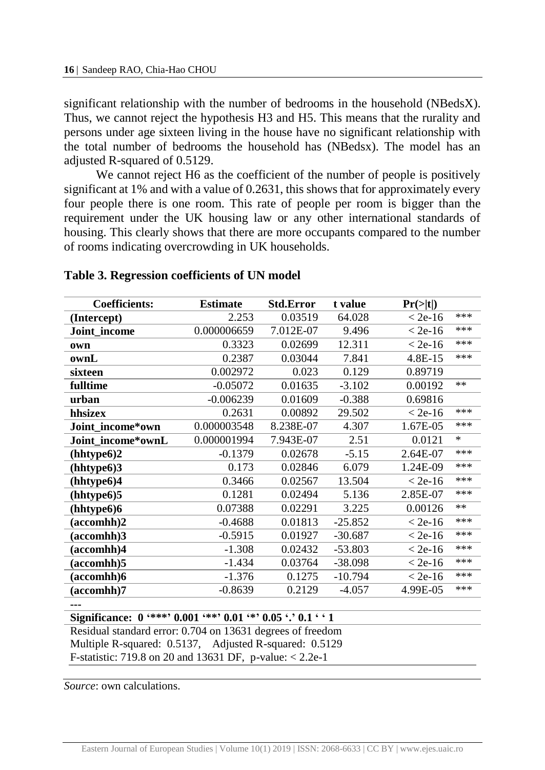significant relationship with the number of bedrooms in the household (NBedsX). Thus, we cannot reject the hypothesis H3 and H5. This means that the rurality and persons under age sixteen living in the house have no significant relationship with the total number of bedrooms the household has (NBedsx). The model has an adjusted R-squared of 0.5129.

We cannot reject H6 as the coefficient of the number of people is positively significant at 1% and with a value of 0.2631, this shows that for approximately every four people there is one room. This rate of people per room is bigger than the requirement under the UK housing law or any other international standards of housing. This clearly shows that there are more occupants compared to the number of rooms indicating overcrowding in UK households.

| <b>Coefficients:</b> | <b>Estimate</b> | <b>Std.Error</b> | t value   | Pr(> t )  |        |
|----------------------|-----------------|------------------|-----------|-----------|--------|
| (Intercept)          | 2.253           | 0.03519          | 64.028    | $<$ 2e-16 | ***    |
| Joint_income         | 0.000006659     | 7.012E-07        | 9.496     | $< 2e-16$ | ***    |
| own                  | 0.3323          | 0.02699          | 12.311    | $< 2e-16$ | ***    |
| ownL                 | 0.2387          | 0.03044          | 7.841     | 4.8E-15   | ***    |
| sixteen              | 0.002972        | 0.023            | 0.129     | 0.89719   |        |
| fulltime             | $-0.05072$      | 0.01635          | $-3.102$  | 0.00192   | $**$   |
| urban                | $-0.006239$     | 0.01609          | $-0.388$  | 0.69816   |        |
| hhsizex              | 0.2631          | 0.00892          | 29.502    | $<$ 2e-16 | ***    |
| Joint_income*own     | 0.000003548     | 8.238E-07        | 4.307     | 1.67E-05  | ***    |
| Joint income*ownL    | 0.000001994     | 7.943E-07        | 2.51      | 0.0121    | $\ast$ |
| (hhtype6)2           | $-0.1379$       | 0.02678          | $-5.15$   | 2.64E-07  | ***    |
| (hhtype6)3           | 0.173           | 0.02846          | 6.079     | 1.24E-09  | ***    |
| (hhtype6)4           | 0.3466          | 0.02567          | 13.504    | $< 2e-16$ | ***    |
| (hhtype6)5           | 0.1281          | 0.02494          | 5.136     | 2.85E-07  | ***    |
| (hhtype6)6           | 0.07388         | 0.02291          | 3.225     | 0.00126   | $***$  |
| (accomhh)2           | $-0.4688$       | 0.01813          | $-25.852$ | $<$ 2e-16 | ***    |
| (accomhh)3           | $-0.5915$       | 0.01927          | $-30.687$ | $< 2e-16$ | ***    |
| (accomhh)4           | $-1.308$        | 0.02432          | $-53.803$ | $< 2e-16$ | ***    |
| (accomhh)5           | $-1.434$        | 0.03764          | $-38.098$ | $< 2e-16$ | ***    |
| (accomhh)6           | $-1.376$        | 0.1275           | $-10.794$ | $<$ 2e-16 | ***    |
| (accomhh)7           | $-0.8639$       | 0.2129           | $-4.057$  | 4.99E-05  | ***    |
|                      |                 |                  |           |           |        |

### **Table 3. Regression coefficients of UN model**

**Significance: 0 '\*\*\*' 0.001 '\*\*' 0.01 '\*' 0.05 '.' 0.1 ' ' 1**

Residual standard error: 0.704 on 13631 degrees of freedom Multiple R-squared: 0.5137, Adjusted R-squared: 0.5129 F-statistic: 719.8 on 20 and 13631 DF, p-value: < 2.2e-1

*Source*: own calculations.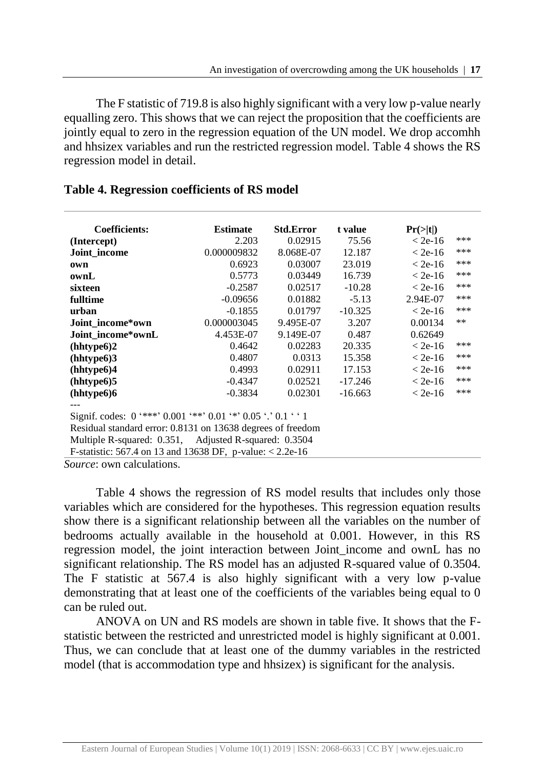The F statistic of 719.8 is also highly significant with a very low p-value nearly equalling zero. This shows that we can reject the proposition that the coefficients are jointly equal to zero in the regression equation of the UN model. We drop accomhh and hhsizex variables and run the restricted regression model. Table 4 shows the RS regression model in detail.

| 2.203                                                        | 0.02915                                       | 75.56                                                                                                                                    | $<$ 2e-16 | ***      |  |  |  |  |  |
|--------------------------------------------------------------|-----------------------------------------------|------------------------------------------------------------------------------------------------------------------------------------------|-----------|----------|--|--|--|--|--|
|                                                              | 8.068E-07                                     | 12.187                                                                                                                                   | $<$ 2e-16 | ***      |  |  |  |  |  |
| 0.6923                                                       | 0.03007                                       | 23.019                                                                                                                                   | $<$ 2e-16 | ***      |  |  |  |  |  |
| 0.5773                                                       | 0.03449                                       | 16.739                                                                                                                                   | $<$ 2e-16 | ***      |  |  |  |  |  |
| $-0.2587$                                                    | 0.02517                                       | $-10.28$                                                                                                                                 | $<$ 2e-16 | ***      |  |  |  |  |  |
| $-0.09656$                                                   | 0.01882                                       | $-5.13$                                                                                                                                  | 2.94E-07  | ***      |  |  |  |  |  |
| $-0.1855$                                                    | 0.01797                                       | $-10.325$                                                                                                                                | $<$ 2e-16 | ***      |  |  |  |  |  |
|                                                              | 9.495E-07                                     | 3.207                                                                                                                                    | 0.00134   | $***$    |  |  |  |  |  |
| 4.453E-07                                                    | 9.149E-07                                     | 0.487                                                                                                                                    | 0.62649   |          |  |  |  |  |  |
| 0.4642                                                       | 0.02283                                       | 20.335                                                                                                                                   | $<$ 2e-16 | ***      |  |  |  |  |  |
| 0.4807                                                       | 0.0313                                        | 15.358                                                                                                                                   | $< 2e-16$ | ***      |  |  |  |  |  |
| 0.4993                                                       | 0.02911                                       | 17.153                                                                                                                                   | $<$ 2e-16 | ***      |  |  |  |  |  |
| $-0.4347$                                                    | 0.02521                                       | $-17.246$                                                                                                                                | $<$ 2e-16 | ***      |  |  |  |  |  |
| $-0.3834$                                                    | 0.02301                                       | $-16.663$                                                                                                                                | $<$ 2e-16 | ***      |  |  |  |  |  |
|                                                              |                                               |                                                                                                                                          |           |          |  |  |  |  |  |
| Signif. codes: 0 '***' 0.001 '**' 0.01 '*' 0.05 '.' 0.1 ' '1 |                                               |                                                                                                                                          |           |          |  |  |  |  |  |
| Residual standard error: 0.8131 on 13638 degrees of freedom  |                                               |                                                                                                                                          |           |          |  |  |  |  |  |
|                                                              |                                               |                                                                                                                                          |           |          |  |  |  |  |  |
|                                                              |                                               |                                                                                                                                          |           |          |  |  |  |  |  |
|                                                              | <b>Estimate</b><br>0.000009832<br>0.000003045 | <b>Std.Error</b><br>Multiple R-squared: 0.351, Adjusted R-squared: 0.3504<br>F-statistic: 567.4 on 13 and 13638 DF, p-value: $< 2.2e-16$ | t value   | Pr(> t ) |  |  |  |  |  |

# **Table 4. Regression coefficients of RS model**

*Source*: own calculations.

Table 4 shows the regression of RS model results that includes only those variables which are considered for the hypotheses. This regression equation results show there is a significant relationship between all the variables on the number of bedrooms actually available in the household at 0.001. However, in this RS regression model, the joint interaction between Joint income and ownL has no significant relationship. The RS model has an adjusted R-squared value of 0.3504. The F statistic at 567.4 is also highly significant with a very low p-value demonstrating that at least one of the coefficients of the variables being equal to 0 can be ruled out.

ANOVA on UN and RS models are shown in table five. It shows that the Fstatistic between the restricted and unrestricted model is highly significant at 0.001. Thus, we can conclude that at least one of the dummy variables in the restricted model (that is accommodation type and hhsizex) is significant for the analysis.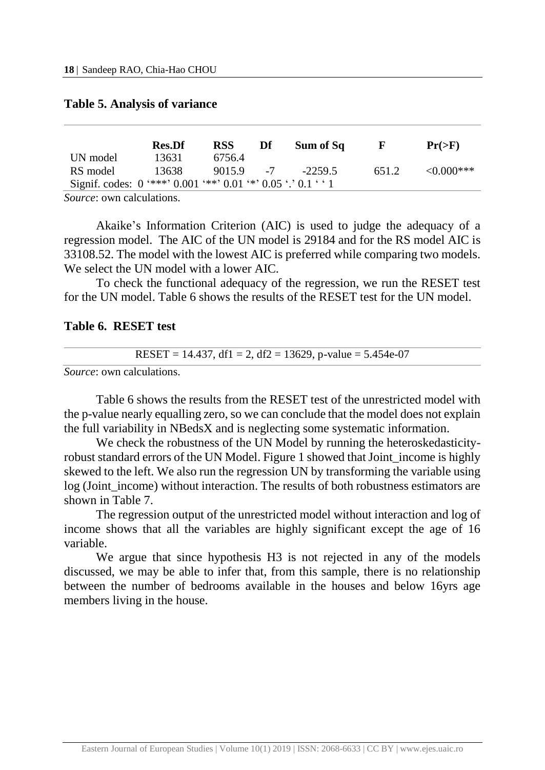|                                                               | <b>Res.Df</b> | RSS    | Df | Sum of Sq | н.    | $Pr(>=F)$        |
|---------------------------------------------------------------|---------------|--------|----|-----------|-------|------------------|
| UN model                                                      | 13631         | 6756.4 |    |           |       |                  |
| RS model                                                      | 13638         | 9015.9 |    | $-22595$  | 651.2 | $\leq 0.000$ *** |
| Signif. codes: 0 '***' 0.001 '**' 0.01 '*' 0.05 '.' 0.1 ' ' 1 |               |        |    |           |       |                  |
| --                                                            |               |        |    |           |       |                  |

#### **Table 5. Analysis of variance**

*Source*: own calculations.

Akaike's Information Criterion (AIC) is used to judge the adequacy of a regression model. The AIC of the UN model is 29184 and for the RS model AIC is 33108.52. The model with the lowest AIC is preferred while comparing two models. We select the UN model with a lower AIC.

To check the functional adequacy of the regression, we run the RESET test for the UN model. Table 6 shows the results of the RESET test for the UN model.

#### **Table 6. RESET test**

#### RESET = 14.437, df1 = 2, df2 = 13629, p-value =  $5.454e-07$

*Source*: own calculations.

Table 6 shows the results from the RESET test of the unrestricted model with the p-value nearly equalling zero, so we can conclude that the model does not explain the full variability in NBedsX and is neglecting some systematic information.

We check the robustness of the UN Model by running the heteroskedasticityrobust standard errors of the UN Model. Figure 1 showed that Joint\_income is highly skewed to the left. We also run the regression UN by transforming the variable using log (Joint\_income) without interaction. The results of both robustness estimators are shown in Table 7.

The regression output of the unrestricted model without interaction and log of income shows that all the variables are highly significant except the age of 16 variable.

We argue that since hypothesis H3 is not rejected in any of the models discussed, we may be able to infer that, from this sample, there is no relationship between the number of bedrooms available in the houses and below 16yrs age members living in the house.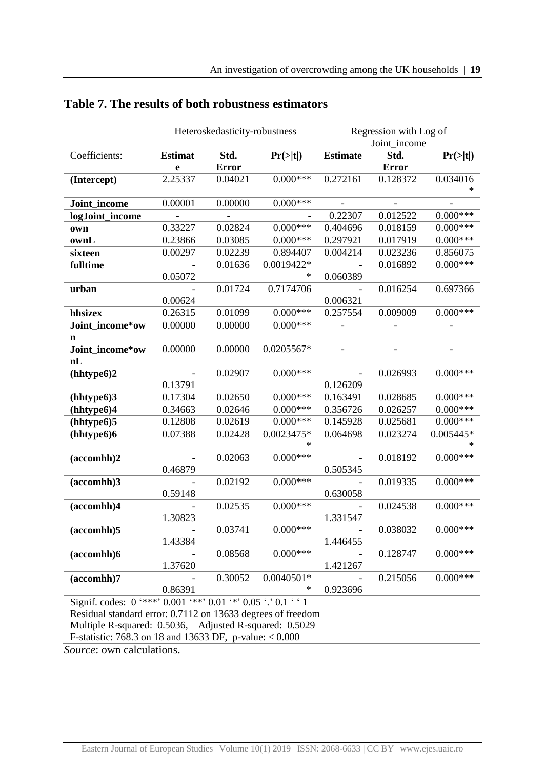|                                                                        |                          | Heteroskedasticity-robustness |              |                 | Regression with Log of<br>Joint income |                      |
|------------------------------------------------------------------------|--------------------------|-------------------------------|--------------|-----------------|----------------------------------------|----------------------|
| Coefficients:                                                          | <b>Estimat</b><br>e      | Std.<br><b>Error</b>          | Pr(> t )     | <b>Estimate</b> | Std.<br><b>Error</b>                   | $Pr(>\vert t \vert)$ |
| (Intercept)                                                            | 2.25337                  | 0.04021                       | $0.000***$   | 0.272161        | 0.128372                               | 0.034016             |
| Joint_income                                                           | 0.00001                  | 0.00000                       | $0.000***$   |                 | $\overline{a}$                         |                      |
| logJoint_income                                                        |                          |                               |              | 0.22307         | 0.012522                               | $0.000***$           |
| own                                                                    | 0.33227                  | 0.02824                       | $0.000***$   | 0.404696        | 0.018159                               | $0.000***$           |
| ownL                                                                   | 0.23866                  | 0.03085                       | $0.000***$   | 0.297921        | 0.017919                               | $0.000***$           |
| sixteen                                                                | 0.00297                  | 0.02239                       | 0.894407     | 0.004214        | 0.023236                               | 0.856075             |
| fulltime                                                               |                          | 0.01636                       | 0.0019422*   |                 | 0.016892                               | $0.000***$           |
|                                                                        | 0.05072                  |                               |              | 0.060389        |                                        |                      |
| urban                                                                  |                          | 0.01724                       | 0.7174706    |                 | 0.016254                               | 0.697366             |
|                                                                        | 0.00624                  |                               |              | 0.006321        |                                        |                      |
| hhsizex                                                                | 0.26315                  | 0.01099                       | $0.000***$   | 0.257554        | 0.009009                               | $0.000***$           |
| Joint_income*ow                                                        | 0.00000                  | 0.00000                       | $0.000***$   |                 |                                        |                      |
| n                                                                      |                          |                               |              |                 |                                        |                      |
| Joint_income*ow<br>nL                                                  | 0.00000                  | 0.00000                       | 0.0205567*   |                 |                                        |                      |
| (hhtype6)2                                                             | $\overline{\phantom{a}}$ | 0.02907                       | $0.000***$   |                 | 0.026993                               | $0.000***$           |
|                                                                        | 0.13791                  |                               |              | 0.126209        |                                        |                      |
| (hhtype6)3                                                             | 0.17304                  | 0.02650                       | $0.000***$   | 0.163491        | 0.028685                               | $0.000***$           |
| (hhtype6)4                                                             | 0.34663                  | 0.02646                       | $0.000***$   | 0.356726        | 0.026257                               | $0.000***$           |
| (hhtype6)5                                                             | 0.12808                  | 0.02619                       | $0.000***$   | 0.145928        | 0.025681                               | $0.000***$           |
| (hhtype6)6                                                             | 0.07388                  | 0.02428                       | $0.0023475*$ | 0.064698        | 0.023274                               | $0.005445*$          |
| (accomhh)2                                                             |                          | 0.02063                       | $0.000***$   |                 | 0.018192                               | $0.000***$           |
|                                                                        | 0.46879                  |                               |              | 0.505345        |                                        |                      |
| (accomhh)3                                                             | 0.59148                  | 0.02192                       | $0.000***$   | 0.630058        | 0.019335                               | $0.000***$           |
| (accomhh)4                                                             |                          | 0.02535                       | $0.000***$   | $\overline{a}$  | 0.024538                               | $0.000***$           |
|                                                                        | 1.30823                  |                               |              | 1.331547        |                                        |                      |
| (accomhh)5                                                             |                          | 0.03741                       | $0.000***$   |                 | 0.038032                               | $0.000***$           |
|                                                                        | 1.43384                  |                               |              | 1.446455        |                                        |                      |
| (accomhh)6                                                             |                          | 0.08568                       | $0.000***$   |                 | 0.128747                               | $0.000***$           |
|                                                                        | 1.37620                  |                               |              | 1.421267        |                                        |                      |
| $(\text{accomhh})$ 7                                                   | $\overline{a}$           | 0.30052                       | $0.0040501*$ |                 | 0.215056                               | $0.000***$           |
|                                                                        | 0.86391                  |                               |              | 0.923696        |                                        |                      |
| Signif. codes: $0$ '***' $0.001$ '**' $0.01$ '*' $0.05$ '.' $0.1$ ' '1 |                          |                               |              |                 |                                        |                      |
| $-1$ 1 $-1$ $-1$ $-1$ $-1$                                             | 1.07110.12021            |                               |              |                 |                                        |                      |

# **Table 7. The results of both robustness estimators**

Residual standard error: 0.7112 on 13633 degrees of freedom Multiple R-squared: 0.5036, Adjusted R-squared: 0.5029 F-statistic: 768.3 on 18 and 13633 DF, p-value: < 0.000

*Source*: own calculations.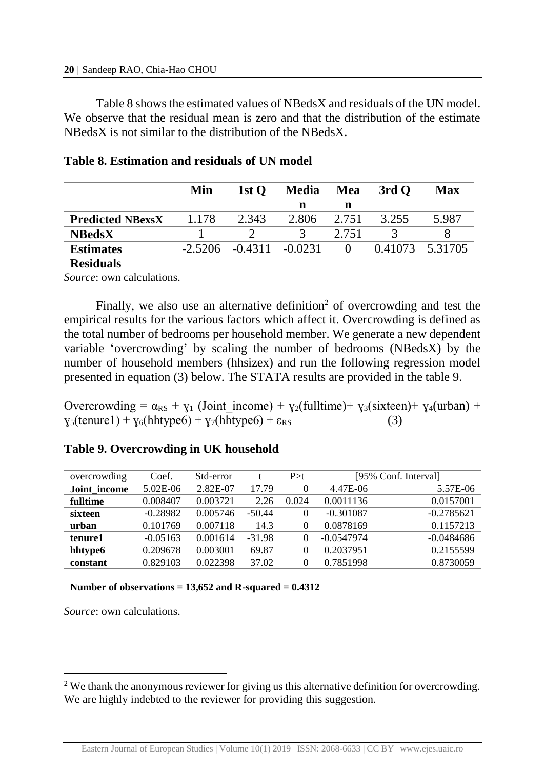Table 8 shows the estimated values of NBedsX and residuals of the UN model. We observe that the residual mean is zero and that the distribution of the estimate NBedsX is not similar to the distribution of the NBedsX.

|                         | Min       | 1st $\mathbf{O}$   | <b>Media</b> | Mea      | 3rd Q | Max             |
|-------------------------|-----------|--------------------|--------------|----------|-------|-----------------|
|                         |           |                    | n            | n        |       |                 |
| <b>Predicted NBexsX</b> | 1.178     | 2.343              | 2.806        | 2.751    | 3.255 | 5.987           |
| <b>NBedsX</b>           |           |                    |              | 2.751    |       |                 |
| <b>Estimates</b>        | $-2.5206$ | $-0.4311 - 0.0231$ |              | $\theta$ |       | 0.41073 5.31705 |
| <b>Residuals</b>        |           |                    |              |          |       |                 |

|  | Table 8. Estimation and residuals of UN model |  |  |  |  |  |
|--|-----------------------------------------------|--|--|--|--|--|
|--|-----------------------------------------------|--|--|--|--|--|

*Source*: own calculations.

Finally, we also use an alternative definition<sup>2</sup> of overcrowding and test the empirical results for the various factors which affect it. Overcrowding is defined as the total number of bedrooms per household member. We generate a new dependent variable 'overcrowding' by scaling the number of bedrooms (NBedsX) by the number of household members (hhsizex) and run the following regression model presented in equation (3) below. The STATA results are provided in the table 9.

Overcrowding =  $\alpha_{RS}$  +  $\gamma_1$  (Joint income) +  $\gamma_2$ (fulltime)+  $\gamma_3$ (sixteen)+  $\gamma_4$ (urban) +  $y_5$ (tenure1) +  $y_6$ (hhtype6) +  $y_7$ (hhtype6) +  $\varepsilon_{RS}$  (3)

# **Table 9. Overcrowding in UK household**

| overcrowding | Coef.      | Std-error |          | P > t    |              | [95% Conf. Interval] |
|--------------|------------|-----------|----------|----------|--------------|----------------------|
| Joint income | 5.02E-06   | 2.82E-07  | 17.79    |          | 4.47E-06     | 5.57E-06             |
| fulltime     | 0.008407   | 0.003721  | 2.26     | 0.024    | 0.0011136    | 0.0157001            |
| sixteen      | $-0.28982$ | 0.005746  | $-50.44$ | $\theta$ | $-0.301087$  | $-0.2785621$         |
| urban        | 0.101769   | 0.007118  | 14.3     | $\theta$ | 0.0878169    | 0.1157213            |
| tenure1      | $-0.05163$ | 0.001614  | $-31.98$ |          | $-0.0547974$ | $-0.0484686$         |
| hhtype6      | 0.209678   | 0.003001  | 69.87    | 0        | 0.2037951    | 0.2155599            |
| constant     | 0.829103   | 0.022398  | 37.02    |          | 0.7851998    | 0.8730059            |

**Number of observations = 13,652 and R-squared = 0.4312**

*Source*: own calculations.

l

<sup>&</sup>lt;sup>2</sup> We thank the anonymous reviewer for giving us this alternative definition for overcrowding. We are highly indebted to the reviewer for providing this suggestion.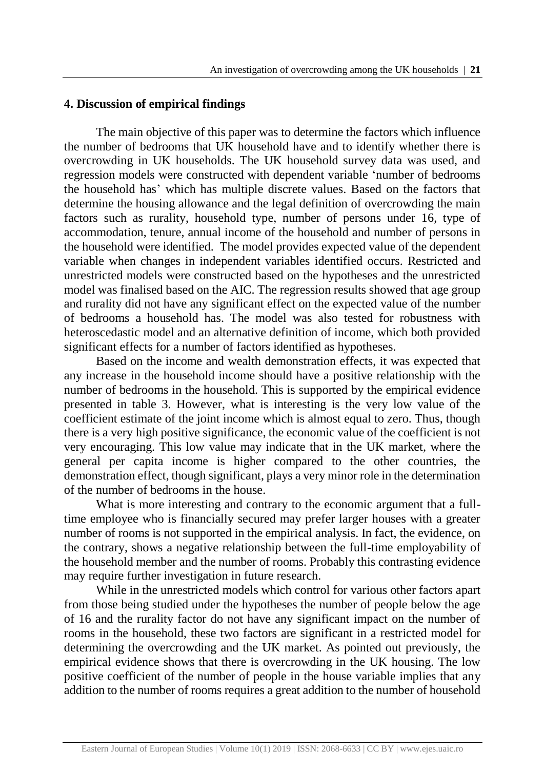## **4. Discussion of empirical findings**

The main objective of this paper was to determine the factors which influence the number of bedrooms that UK household have and to identify whether there is overcrowding in UK households. The UK household survey data was used, and regression models were constructed with dependent variable 'number of bedrooms the household has' which has multiple discrete values. Based on the factors that determine the housing allowance and the legal definition of overcrowding the main factors such as rurality, household type, number of persons under 16, type of accommodation, tenure, annual income of the household and number of persons in the household were identified. The model provides expected value of the dependent variable when changes in independent variables identified occurs. Restricted and unrestricted models were constructed based on the hypotheses and the unrestricted model was finalised based on the AIC. The regression results showed that age group and rurality did not have any significant effect on the expected value of the number of bedrooms a household has. The model was also tested for robustness with heteroscedastic model and an alternative definition of income, which both provided significant effects for a number of factors identified as hypotheses.

Based on the income and wealth demonstration effects, it was expected that any increase in the household income should have a positive relationship with the number of bedrooms in the household. This is supported by the empirical evidence presented in table 3. However, what is interesting is the very low value of the coefficient estimate of the joint income which is almost equal to zero. Thus, though there is a very high positive significance, the economic value of the coefficient is not very encouraging. This low value may indicate that in the UK market, where the general per capita income is higher compared to the other countries, the demonstration effect, though significant, plays a very minor role in the determination of the number of bedrooms in the house.

What is more interesting and contrary to the economic argument that a fulltime employee who is financially secured may prefer larger houses with a greater number of rooms is not supported in the empirical analysis. In fact, the evidence, on the contrary, shows a negative relationship between the full-time employability of the household member and the number of rooms. Probably this contrasting evidence may require further investigation in future research.

While in the unrestricted models which control for various other factors apart from those being studied under the hypotheses the number of people below the age of 16 and the rurality factor do not have any significant impact on the number of rooms in the household, these two factors are significant in a restricted model for determining the overcrowding and the UK market. As pointed out previously, the empirical evidence shows that there is overcrowding in the UK housing. The low positive coefficient of the number of people in the house variable implies that any addition to the number of rooms requires a great addition to the number of household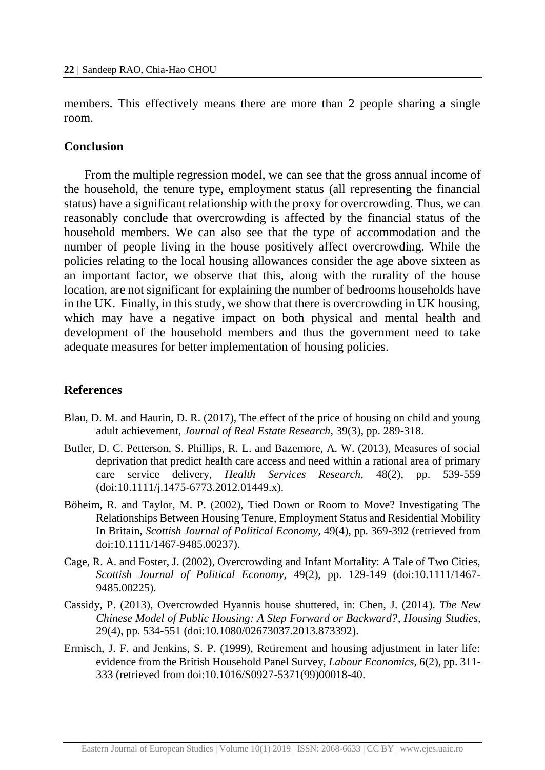members. This effectively means there are more than 2 people sharing a single room.

#### **Conclusion**

From the multiple regression model, we can see that the gross annual income of the household, the tenure type, employment status (all representing the financial status) have a significant relationship with the proxy for overcrowding. Thus, we can reasonably conclude that overcrowding is affected by the financial status of the household members. We can also see that the type of accommodation and the number of people living in the house positively affect overcrowding. While the policies relating to the local housing allowances consider the age above sixteen as an important factor, we observe that this, along with the rurality of the house location, are not significant for explaining the number of bedrooms households have in the UK. Finally, in this study, we show that there is overcrowding in UK housing, which may have a negative impact on both physical and mental health and development of the household members and thus the government need to take adequate measures for better implementation of housing policies.

### **References**

- Blau, D. M. and Haurin, D. R. (2017), The effect of the price of housing on child and young adult achievement, *Journal of Real Estate Research,* 39(3), pp. 289-318.
- Butler, D. C. Petterson, S. Phillips, R. L. and Bazemore, A. W. (2013), Measures of social deprivation that predict health care access and need within a rational area of primary care service delivery, *Health Services Research,* 48(2), pp. 539-559 (doi:10.1111/j.1475-6773.2012.01449.x).
- Böheim, R. and Taylor, M. P. (2002), Tied Down or Room to Move? Investigating The Relationships Between Housing Tenure, Employment Status and Residential Mobility In Britain, *Scottish Journal of Political Economy,* 49(4), pp. 369-392 (retrieved from doi:10.1111/1467-9485.00237).
- Cage, R. A. and Foster, J. (2002), Overcrowding and Infant Mortality: A Tale of Two Cities, *Scottish Journal of Political Economy,* 49(2), pp. 129-149 (doi:10.1111/1467- 9485.00225).
- Cassidy, P. (2013), Overcrowded Hyannis house shuttered, in: Chen, J. (2014). *The New Chinese Model of Public Housing: A Step Forward or Backward?*, *Housing Studies,*  29(4), pp. 534-551 (doi:10.1080/02673037.2013.873392).
- Ermisch, J. F. and Jenkins, S. P. (1999), Retirement and housing adjustment in later life: evidence from the British Household Panel Survey, *Labour Economics,* 6(2), pp. 311- 333 (retrieved from doi:10.1016/S0927-5371(99)00018-40.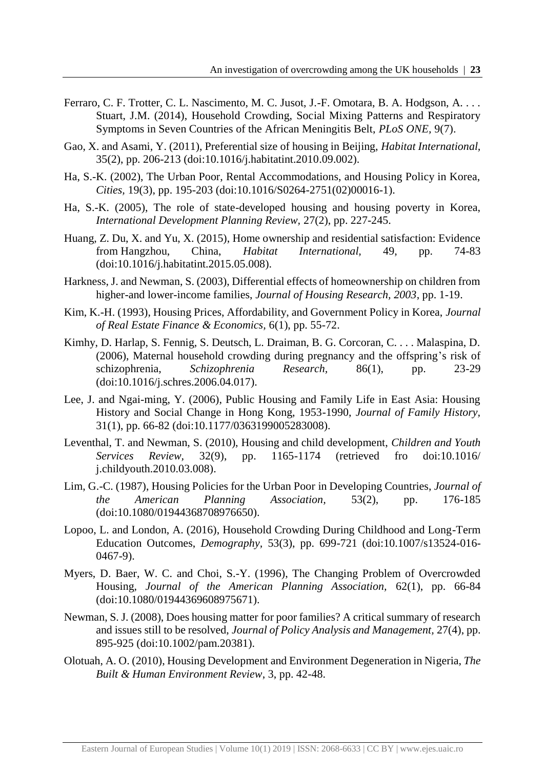- Ferraro, C. F. Trotter, C. L. Nascimento, M. C. Jusot, J.-F. Omotara, B. A. Hodgson, A. . . . Stuart, J.M. (2014), Household Crowding, Social Mixing Patterns and Respiratory Symptoms in Seven Countries of the African Meningitis Belt, *PLoS ONE,* 9(7).
- Gao, X. and Asami, Y. (2011), Preferential size of housing in Beijing, *Habitat International,*  35(2), pp. 206-213 (doi:10.1016/j.habitatint.2010.09.002).
- Ha, S.-K. (2002), The Urban Poor, Rental Accommodations, and Housing Policy in Korea, *Cities,* 19(3), pp. 195-203 (doi:10.1016/S0264-2751(02)00016-1).
- Ha, S.-K. (2005), The role of state-developed housing and housing poverty in Korea, *International Development Planning Review,* 27(2), pp. 227-245.
- Huang, Z. Du, X. and Yu, X. (2015), Home ownership and residential satisfaction: Evidence from Hangzhou, China, *Habitat International,* 49, pp. 74-83 (doi:10.1016/j.habitatint.2015.05.008).
- Harkness, J. and Newman, S. (2003), Differential effects of homeownership on children from higher-and lower-income families, *Journal of Housing Research, 2003*, pp. 1-19.
- Kim, K.-H. (1993), Housing Prices, Affordability, and Government Policy in Korea, *Journal of Real Estate Finance & Economics,* 6(1), pp. 55-72.
- Kimhy, D. Harlap, S. Fennig, S. Deutsch, L. Draiman, B. G. Corcoran, C. . . . Malaspina, D. (2006), Maternal household crowding during pregnancy and the offspring's risk of schizophrenia, *Schizophrenia Research,* 86(1), pp. 23-29 (doi:10.1016/j.schres.2006.04.017).
- Lee, J. and Ngai-ming, Y. (2006), Public Housing and Family Life in East Asia: Housing History and Social Change in Hong Kong, 1953-1990, *Journal of Family History,*  31(1), pp. 66-82 (doi:10.1177/0363199005283008).
- Leventhal, T. and Newman, S. (2010), Housing and child development, *Children and Youth Services Review,* 32(9), pp. 1165-1174 (retrieved fro doi:10.1016/ j.childyouth.2010.03.008).
- Lim, G.-C. (1987), Housing Policies for the Urban Poor in Developing Countries, *Journal of the American Planning Association,* 53(2), pp. 176-185 (doi:10.1080/01944368708976650).
- Lopoo, L. and London, A. (2016), Household Crowding During Childhood and Long-Term Education Outcomes, *Demography,* 53(3), pp. 699-721 (doi:10.1007/s13524-016- 0467-9).
- Myers, D. Baer, W. C. and Choi, S.-Y. (1996), The Changing Problem of Overcrowded Housing, *Journal of the American Planning Association,* 62(1), pp. 66-84 (doi:10.1080/01944369608975671).
- Newman, S. J. (2008), Does housing matter for poor families? A critical summary of research and issues still to be resolved, *Journal of Policy Analysis and Management,* 27(4), pp. 895-925 (doi:10.1002/pam.20381).
- Olotuah, A. O. (2010), Housing Development and Environment Degeneration in Nigeria, *The Built & Human Environment Review*, 3, pp. 42-48.